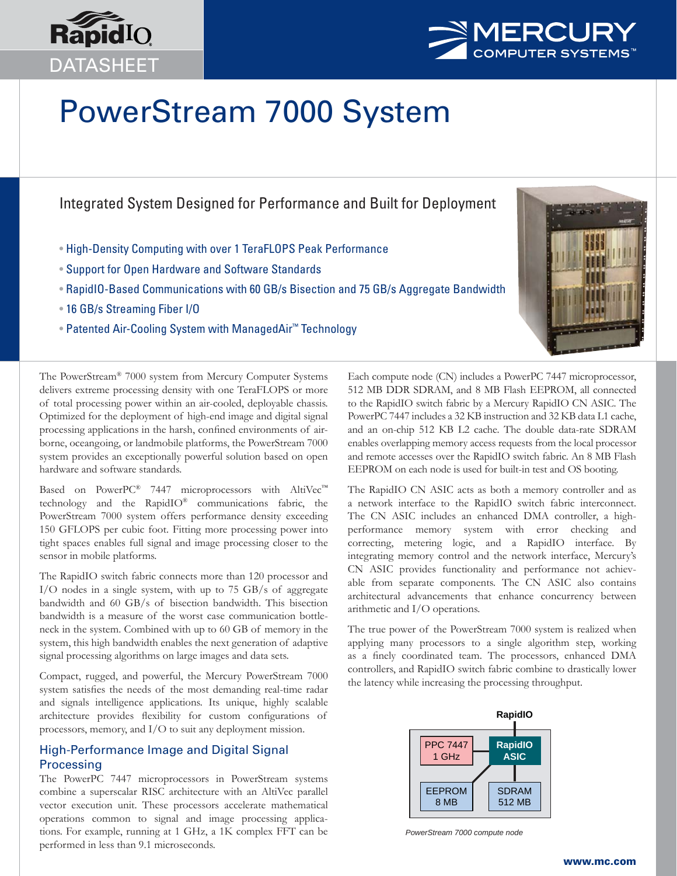



# PowerStream 7000 System

# Integrated System Designed for Performance and Built for Deployment

- High-Density Computing with over 1 TeraFLOPS Peak Performance
- Support for Open Hardware and Software Standards
- RapidIO-Based Communications with 60 GB/s Bisection and 75 GB/s Aggregate Bandwidth
- 16 GB/s Streaming Fiber I/O
- Patented Air-Cooling System with ManagedAir™ Technology



The PowerStream® 7000 system from Mercury Computer Systems delivers extreme processing density with one TeraFLOPS or more of total processing power within an air-cooled, deployable chassis. Optimized for the deployment of high-end image and digital signal processing applications in the harsh, confined environments of airborne, oceangoing, or landmobile platforms, the PowerStream 7000 system provides an exceptionally powerful solution based on open hardware and software standards.

Based on PowerPC® 7447 microprocessors with AltiVec™ technology and the RapidIO® communications fabric, the PowerStream 7000 system offers performance density exceeding 150 GFLOPS per cubic foot. Fitting more processing power into tight spaces enables full signal and image processing closer to the sensor in mobile platforms.

The RapidIO switch fabric connects more than 120 processor and I/O nodes in a single system, with up to 75 GB/s of aggregate bandwidth and 60 GB/s of bisection bandwidth. This bisection bandwidth is a measure of the worst case communication bottleneck in the system. Combined with up to 60 GB of memory in the system, this high bandwidth enables the next generation of adaptive signal processing algorithms on large images and data sets.

Compact, rugged, and powerful, the Mercury PowerStream 7000 system satisfies the needs of the most demanding real-time radar and signals intelligence applications. Its unique, highly scalable architecture provides flexibility for custom configurations of processors, memory, and I/O to suit any deployment mission.

# High-Performance Image and Digital Signal Processing

The PowerPC 7447 microprocessors in PowerStream systems combine a superscalar RISC architecture with an AltiVec parallel vector execution unit. These processors accelerate mathematical operations common to signal and image processing applications. For example, running at 1 GHz, a 1K complex FFT can be performed in less than 9.1 microseconds.

Each compute node (CN) includes a PowerPC 7447 microprocessor, 512 MB DDR SDRAM, and 8 MB Flash EEPROM, all connected to the RapidIO switch fabric by a Mercury RapidIO CN ASIC. The PowerPC 7447 includes a 32 KB instruction and 32 KB data L1 cache, and an on-chip 512 KB L2 cache. The double data-rate SDRAM enables overlapping memory access requests from the local processor and remote accesses over the RapidIO switch fabric. An 8 MB Flash EEPROM on each node is used for built-in test and OS booting.

The RapidIO CN ASIC acts as both a memory controller and as a network interface to the RapidIO switch fabric interconnect. The CN ASIC includes an enhanced DMA controller, a highperformance memory system with error checking and correcting, metering logic, and a RapidIO interface. By integrating memory control and the network interface, Mercury's CN ASIC provides functionality and performance not achievable from separate components. The CN ASIC also contains architectural advancements that enhance concurrency between arithmetic and I/O operations.

The true power of the PowerStream 7000 system is realized when applying many processors to a single algorithm step, working as a finely coordinated team. The processors, enhanced DMA controllers, and RapidIO switch fabric combine to drastically lower the latency while increasing the processing throughput.



*PowerStream 7000 compute node*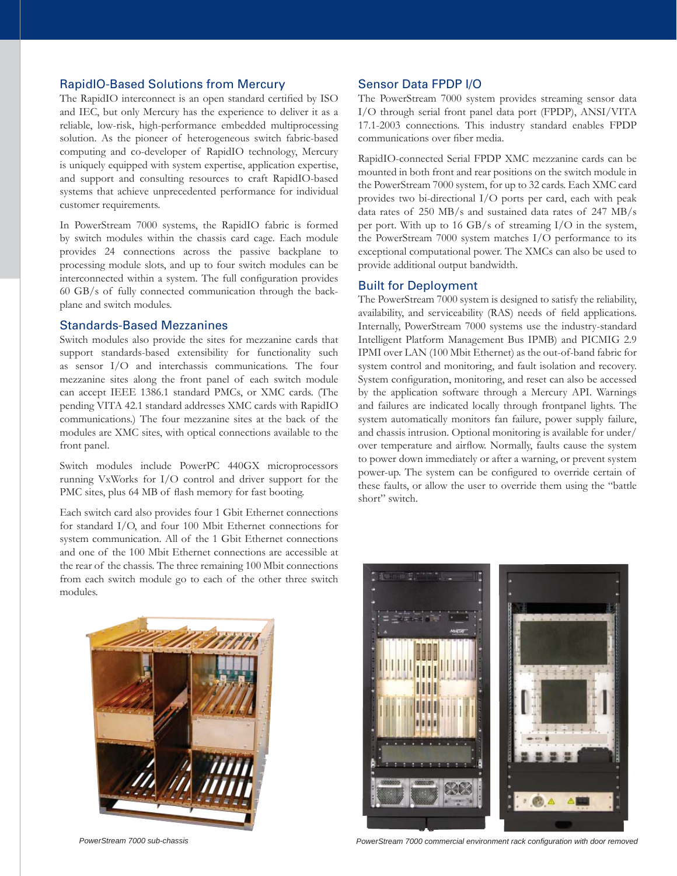# RapidIO-Based Solutions from Mercury

The RapidIO interconnect is an open standard certified by ISO and IEC, but only Mercury has the experience to deliver it as a reliable, low-risk, high-performance embedded multiprocessing solution. As the pioneer of heterogeneous switch fabric-based computing and co-developer of RapidIO technology, Mercury is uniquely equipped with system expertise, application expertise, and support and consulting resources to craft RapidIO-based systems that achieve unprecedented performance for individual customer requirements.

In PowerStream 7000 systems, the RapidIO fabric is formed by switch modules within the chassis card cage. Each module provides 24 connections across the passive backplane to processing module slots, and up to four switch modules can be interconnected within a system. The full configuration provides 60 GB/s of fully connected communication through the backplane and switch modules.

### Standards-Based Mezzanines

Switch modules also provide the sites for mezzanine cards that support standards-based extensibility for functionality such as sensor I/O and interchassis communications. The four mezzanine sites along the front panel of each switch module can accept IEEE 1386.1 standard PMCs, or XMC cards. (The pending VITA 42.1 standard addresses XMC cards with RapidIO communications.) The four mezzanine sites at the back of the modules are XMC sites, with optical connections available to the front panel.

Switch modules include PowerPC 440GX microprocessors running VxWorks for I/O control and driver support for the PMC sites, plus 64 MB of flash memory for fast booting.

Each switch card also provides four 1 Gbit Ethernet connections for standard I/O, and four 100 Mbit Ethernet connections for system communication. All of the 1 Gbit Ethernet connections and one of the 100 Mbit Ethernet connections are accessible at the rear of the chassis. The three remaining 100 Mbit connections from each switch module go to each of the other three switch modules.



# Sensor Data FPDP I/O

The PowerStream 7000 system provides streaming sensor data I/O through serial front panel data port (FPDP), ANSI/VITA 17.1-2003 connections. This industry standard enables FPDP communications over fiber media.

RapidIO-connected Serial FPDP XMC mezzanine cards can be mounted in both front and rear positions on the switch module in the PowerStream 7000 system, for up to 32 cards. Each XMC card provides two bi-directional I/O ports per card, each with peak data rates of 250 MB/s and sustained data rates of 247 MB/s per port. With up to 16 GB/s of streaming I/O in the system, the PowerStream 7000 system matches I/O performance to its exceptional computational power. The XMCs can also be used to provide additional output bandwidth.

### Built for Deployment

The PowerStream 7000 system is designed to satisfy the reliability, availability, and serviceability (RAS) needs of field applications. Internally, PowerStream 7000 systems use the industry-standard Intelligent Platform Management Bus IPMB) and PICMIG 2.9 IPMI over LAN (100 Mbit Ethernet) as the out-of-band fabric for system control and monitoring, and fault isolation and recovery. System configuration, monitoring, and reset can also be accessed by the application software through a Mercury API. Warnings and failures are indicated locally through frontpanel lights. The system automatically monitors fan failure, power supply failure, and chassis intrusion. Optional monitoring is available for under/ over temperature and airflow. Normally, faults cause the system to power down immediately or after a warning, or prevent system power-up. The system can be configured to override certain of these faults, or allow the user to override them using the "battle short" switch.



PowerStream 7000 sub-chassis *PowerStream 7000 commercial environment rack configuration with door removed**PowerStream 7000 commercial environment rack configuration with door removed*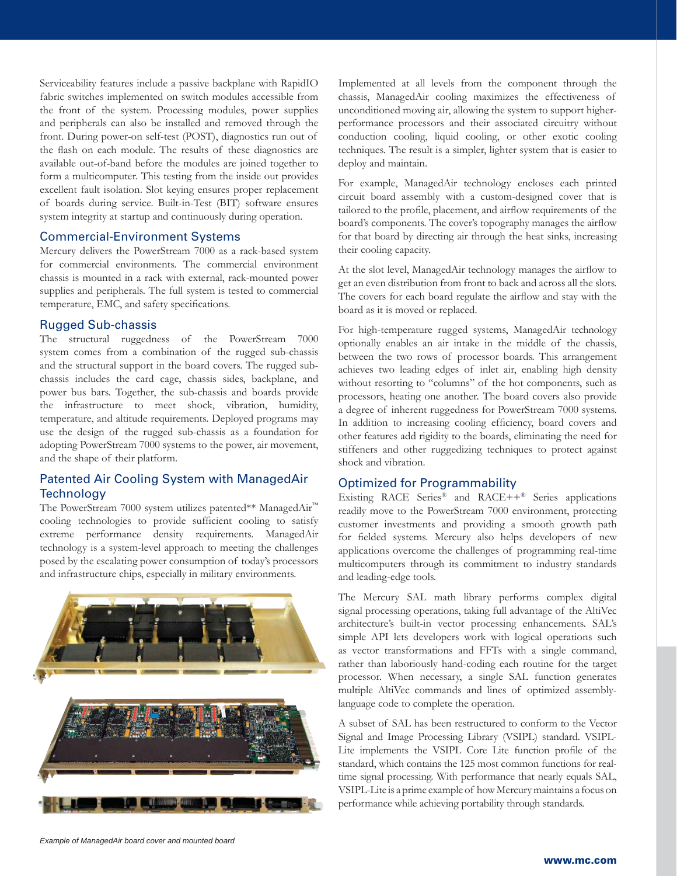Serviceability features include a passive backplane with RapidIO fabric switches implemented on switch modules accessible from the front of the system. Processing modules, power supplies and peripherals can also be installed and removed through the front. During power-on self-test (POST), diagnostics run out of the flash on each module. The results of these diagnostics are available out-of-band before the modules are joined together to form a multicomputer. This testing from the inside out provides excellent fault isolation. Slot keying ensures proper replacement of boards during service. Built-in-Test (BIT) software ensures system integrity at startup and continuously during operation.

# Commercial-Environment Systems

Mercury delivers the PowerStream 7000 as a rack-based system for commercial environments. The commercial environment chassis is mounted in a rack with external, rack-mounted power supplies and peripherals. The full system is tested to commercial temperature, EMC, and safety specifications.

### Rugged Sub-chassis

The structural ruggedness of the PowerStream 7000 system comes from a combination of the rugged sub-chassis and the structural support in the board covers. The rugged subchassis includes the card cage, chassis sides, backplane, and power bus bars. Together, the sub-chassis and boards provide the infrastructure to meet shock, vibration, humidity, temperature, and altitude requirements. Deployed programs may use the design of the rugged sub-chassis as a foundation for adopting PowerStream 7000 systems to the power, air movement, and the shape of their platform.

# Patented Air Cooling System with ManagedAir **Technology**

The PowerStream 7000 system utilizes patented\*\* ManagedAir™ cooling technologies to provide sufficient cooling to satisfy extreme performance density requirements. ManagedAir technology is a system-level approach to meeting the challenges posed by the escalating power consumption of today's processors and infrastructure chips, especially in military environments.



Implemented at all levels from the component through the chassis, ManagedAir cooling maximizes the effectiveness of unconditioned moving air, allowing the system to support higherperformance processors and their associated circuitry without conduction cooling, liquid cooling, or other exotic cooling techniques. The result is a simpler, lighter system that is easier to deploy and maintain.

For example, ManagedAir technology encloses each printed circuit board assembly with a custom-designed cover that is tailored to the profile, placement, and airflow requirements of the board's components. The cover's topography manages the airflow for that board by directing air through the heat sinks, increasing their cooling capacity.

At the slot level, ManagedAir technology manages the airflow to get an even distribution from front to back and across all the slots. The covers for each board regulate the airflow and stay with the board as it is moved or replaced.

For high-temperature rugged systems, ManagedAir technology optionally enables an air intake in the middle of the chassis, between the two rows of processor boards. This arrangement achieves two leading edges of inlet air, enabling high density without resorting to "columns" of the hot components, such as processors, heating one another. The board covers also provide a degree of inherent ruggedness for PowerStream 7000 systems. In addition to increasing cooling efficiency, board covers and other features add rigidity to the boards, eliminating the need for stiffeners and other ruggedizing techniques to protect against shock and vibration.

# Optimized for Programmability

Existing RACE Series® and RACE++® Series applications readily move to the PowerStream 7000 environment, protecting customer investments and providing a smooth growth path for fielded systems. Mercury also helps developers of new applications overcome the challenges of programming real-time multicomputers through its commitment to industry standards and leading-edge tools.

The Mercury SAL math library performs complex digital signal processing operations, taking full advantage of the AltiVec architecture's built-in vector processing enhancements. SAL's simple API lets developers work with logical operations such as vector transformations and FFTs with a single command, rather than laboriously hand-coding each routine for the target processor. When necessary, a single SAL function generates multiple AltiVec commands and lines of optimized assemblylanguage code to complete the operation.

A subset of SAL has been restructured to conform to the Vector Signal and Image Processing Library (VSIPL) standard. VSIPL-Lite implements the VSIPL Core Lite function profile of the standard, which contains the 125 most common functions for realtime signal processing. With performance that nearly equals SAL, VSIPL-Lite is a prime example of how Mercury maintains a focus on performance while achieving portability through standards.

*Example of ManagedAir board cover and mounted board*